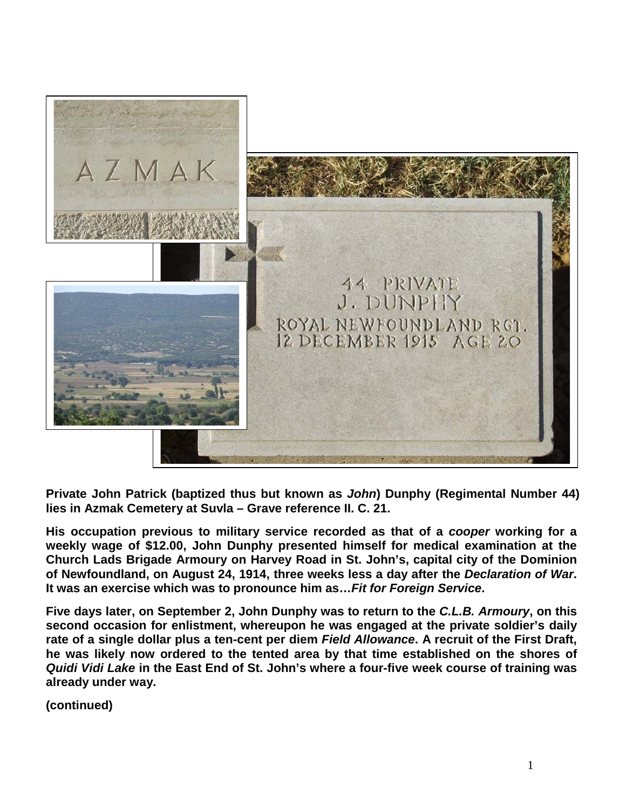

**Private John Patrick (baptized thus but known as** *John***) Dunphy (Regimental Number 44) lies in Azmak Cemetery at Suvla – Grave reference II. C. 21.**

**His occupation previous to military service recorded as that of a** *cooper* **working for a weekly wage of \$12.00, John Dunphy presented himself for medical examination at the Church Lads Brigade Armoury on Harvey Road in St. John's, capital city of the Dominion of Newfoundland, on August 24, 1914, three weeks less a day after the** *Declaration of War***. It was an exercise which was to pronounce him as…***Fit for Foreign Service***.**

**Five days later, on September 2, John Dunphy was to return to the** *C.L.B. Armoury***, on this second occasion for enlistment, whereupon he was engaged at the private soldier's daily rate of a single dollar plus a ten-cent per diem** *Field Allowance***. A recruit of the First Draft, he was likely now ordered to the tented area by that time established on the shores of**  *Quidi Vidi Lake* **in the East End of St. John's where a four-five week course of training was already under way.**

**(continued)**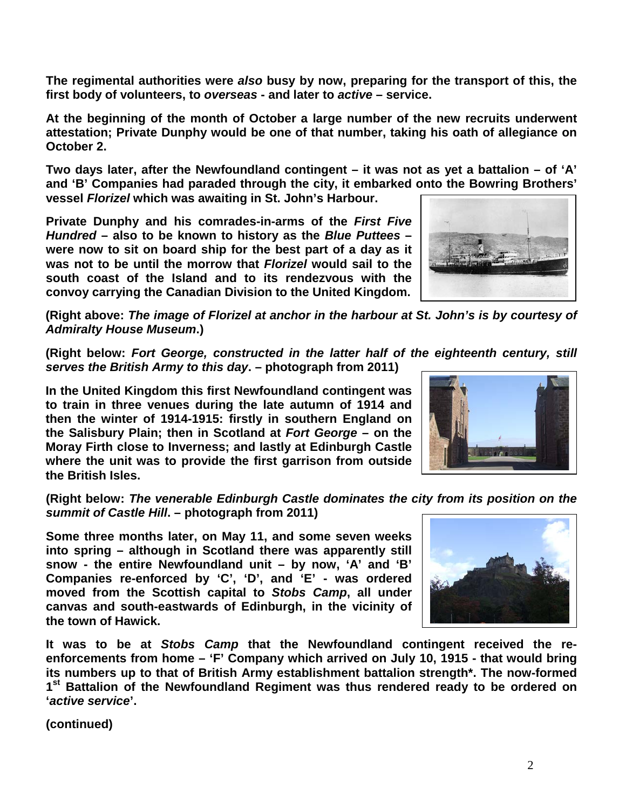š.

**(Right above:** *The image of Florizel at anchor in the harbour at St. John's is by courtesy of* 

**(Right below:** *Fort George, constructed in the latter half of the eighteenth century, still serves the British Army to this day***. – photograph from 2011)**

**In the United Kingdom this first Newfoundland contingent was to train in three venues during the late autumn of 1914 and then the winter of 1914-1915: firstly in southern England on the Salisbury Plain; then in Scotland at** *Fort George* **– on the Moray Firth close to Inverness; and lastly at Edinburgh Castle where the unit was to provide the first garrison from outside the British Isles.** 

*summit of Castle Hill***. – photograph from 2011)**

**Some three months later, on May 11, and some seven weeks into spring – although in Scotland there was apparently still snow - the entire Newfoundland unit – by now, 'A' and 'B' Companies re-enforced by 'C', 'D', and 'E' - was ordered moved from the Scottish capital to** *Stobs Camp***, all under canvas and south-eastwards of Edinburgh, in the vicinity of the town of Hawick.** 

**It was to be at** *Stobs Camp* **that the Newfoundland contingent received the reenforcements from home – 'F' Company which arrived on July 10, 1915 - that would bring its numbers up to that of British Army establishment battalion strength\*. The now-formed 1st Battalion of the Newfoundland Regiment was thus rendered ready to be ordered on '***active service***'.**

**(continued)**

**(Right below:** *The venerable Edinburgh Castle dominates the city from its position on the* 

*Admiralty House Museum***.)**

**At the beginning of the month of October a large number of the new recruits underwent attestation; Private Dunphy would be one of that number, taking his oath of allegiance on October 2.**

**Two days later, after the Newfoundland contingent – it was not as yet a battalion – of 'A' and 'B' Companies had paraded through the city, it embarked onto the Bowring Brothers'** 

**vessel** *Florizel* **which was awaiting in St. John's Harbour.** 

*Hundred* **– also to be known to history as the** *Blue Puttees* **– were now to sit on board ship for the best part of a day as it was not to be until the morrow that** *Florizel* **would sail to the south coast of the Island and to its rendezvous with the convoy carrying the Canadian Division to the United Kingdom.**

**The regimental authorities were** *also* **busy by now, preparing for the transport of this, the first body of volunteers, to** *overseas* **- and later to** *active* **– service.**



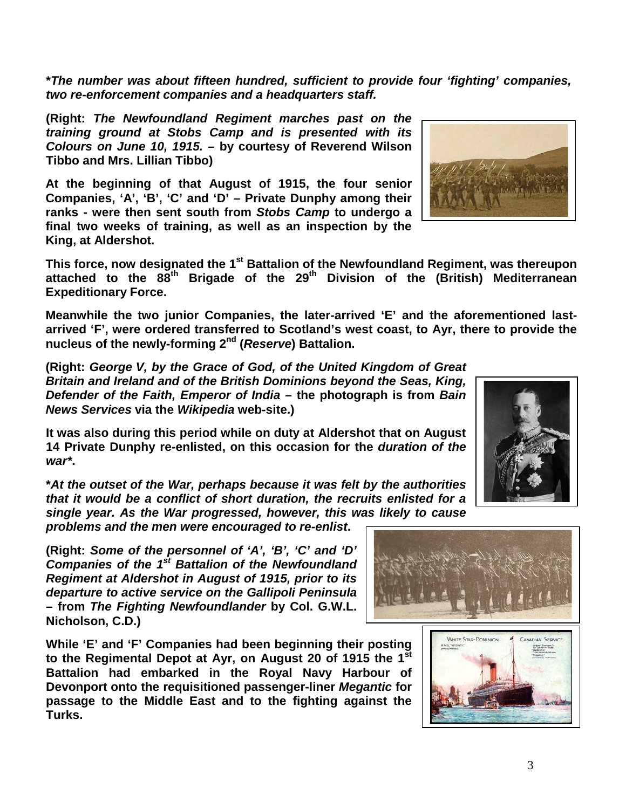**\****The number was about fifteen hundred, sufficient to provide four 'fighting' companies, two re-enforcement companies and a headquarters staff.*

**(Right:** *The Newfoundland Regiment marches past on the training ground at Stobs Camp and is presented with its Colours on June 10, 1915.* **– by courtesy of Reverend Wilson Tibbo and Mrs. Lillian Tibbo)**

**At the beginning of that August of 1915, the four senior Companies, 'A', 'B', 'C' and 'D' – Private Dunphy among their ranks - were then sent south from** *Stobs Camp* **to undergo a final two weeks of training, as well as an inspection by the King, at Aldershot.** 



**This force, now designated the 1st Battalion of the Newfoundland Regiment, was thereupon attached to the 88th Brigade of the 29th Division of the (British) Mediterranean Expeditionary Force.**

**Meanwhile the two junior Companies, the later-arrived 'E' and the aforementioned lastarrived 'F', were ordered transferred to Scotland's west coast, to Ayr, there to provide the nucleus of the newly-forming 2nd (***Reserve***) Battalion.**

**(Right:** *George V, by the Grace of God, of the United Kingdom of Great Britain and Ireland and of the British Dominions beyond the Seas, King, Defender of the Faith, Emperor of India* **– the photograph is from** *Bain News Services* **via the** *Wikipedia* **web-site.)**

**It was also during this period while on duty at Aldershot that on August 14 Private Dunphy re-enlisted, on this occasion for the** *duration of the war\****.**

**\****At the outset of the War, perhaps because it was felt by the authorities that it would be a conflict of short duration, the recruits enlisted for a single year. As the War progressed, however, this was likely to cause* 

*problems and the men were encouraged to re-enlist***.**

**(Right:** *Some of the personnel of 'A', 'B', 'C' and 'D' Companies of the 1st Battalion of the Newfoundland Regiment at Aldershot in August of 1915, prior to its departure to active service on the Gallipoli Peninsula*  **– from** *The Fighting Newfoundlander* **by Col. G.W.L. Nicholson, C.D.)**

**While 'E' and 'F' Companies had been beginning their posting to the Regimental Depot at Ayr, on August 20 of 1915 the 1st Battalion had embarked in the Royal Navy Harbour of Devonport onto the requisitioned passenger-liner** *Megantic* **for passage to the Middle East and to the fighting against the Turks.** 





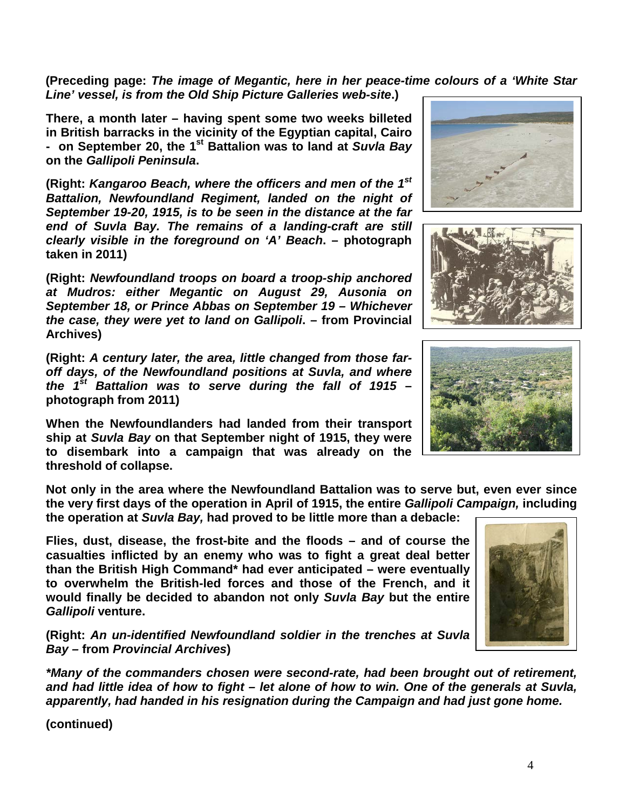**(Preceding page:** *The image of Megantic, here in her peace-time colours of a 'White Star Line' vessel, is from the Old Ship Picture Galleries web-site***.)**

**There, a month later – having spent some two weeks billeted in British barracks in the vicinity of the Egyptian capital, Cairo - on September 20, the 1st Battalion was to land at** *Suvla Bay* **on the** *Gallipoli Peninsula***.**

**(Right:** *Kangaroo Beach, where the officers and men of the 1st Battalion, Newfoundland Regiment, landed on the night of September 19-20, 1915, is to be seen in the distance at the far end of Suvla Bay. The remains of a landing-craft are still clearly visible in the foreground on 'A' Beach***. – photograph taken in 2011)**

**(Right:** *Newfoundland troops on board a troop-ship anchored at Mudros: either Megantic on August 29, Ausonia on September 18, or Prince Abbas on September 19 – Whichever the case, they were yet to land on Gallipoli***. – from Provincial Archives)**

**(Right:** *A century later, the area, little changed from those faroff days, of the Newfoundland positions at Suvla, and where the 1st Battalion was to serve during the fall of 1915* **– photograph from 2011)**

**When the Newfoundlanders had landed from their transport ship at** *Suvla Bay* **on that September night of 1915, they were to disembark into a campaign that was already on the threshold of collapse.**

**Not only in the area where the Newfoundland Battalion was to serve but, even ever since the very first days of the operation in April of 1915, the entire** *Gallipoli Campaign,* **including the operation at** *Suvla Bay,* **had proved to be little more than a debacle:** 

**Flies, dust, disease, the frost-bite and the floods – and of course the casualties inflicted by an enemy who was to fight a great deal better than the British High Command\* had ever anticipated – were eventually to overwhelm the British-led forces and those of the French, and it would finally be decided to abandon not only** *Suvla Bay* **but the entire**  *Gallipoli* **venture.**

**(Right:** *An un-identified Newfoundland soldier in the trenches at Suvla Bay –* **from** *Provincial Archives***)**

*\*Many of the commanders chosen were second-rate, had been brought out of retirement, and had little idea of how to fight – let alone of how to win. One of the generals at Suvla, apparently, had handed in his resignation during the Campaign and had just gone home.* 

**(continued)**







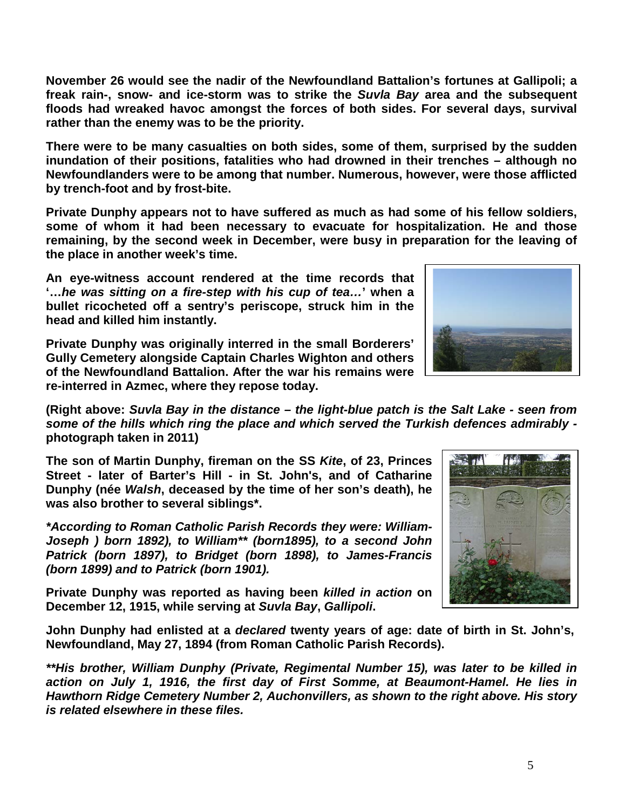**November 26 would see the nadir of the Newfoundland Battalion's fortunes at Gallipoli; a freak rain-, snow- and ice-storm was to strike the** *Suvla Bay* **area and the subsequent floods had wreaked havoc amongst the forces of both sides. For several days, survival rather than the enemy was to be the priority.**

**There were to be many casualties on both sides, some of them, surprised by the sudden inundation of their positions, fatalities who had drowned in their trenches – although no Newfoundlanders were to be among that number. Numerous, however, were those afflicted by trench-foot and by frost-bite.**

**Private Dunphy appears not to have suffered as much as had some of his fellow soldiers, some of whom it had been necessary to evacuate for hospitalization. He and those remaining, by the second week in December, were busy in preparation for the leaving of the place in another week's time.**

**An eye-witness account rendered at the time records that '…***he was sitting on a fire-step with his cup of tea…***' when a bullet ricocheted off a sentry's periscope, struck him in the head and killed him instantly.**

**Private Dunphy was originally interred in the small Borderers' Gully Cemetery alongside Captain Charles Wighton and others of the Newfoundland Battalion. After the war his remains were re-interred in Azmec, where they repose today.**

**(Right above:** *Suvla Bay in the distance – the light-blue patch is the Salt Lake - seen from some of the hills which ring the place and which served the Turkish defences admirably*  **photograph taken in 2011)**

**The son of Martin Dunphy, fireman on the SS** *Kite***, of 23, Princes Street - later of Barter's Hill - in St. John's, and of Catharine Dunphy (née** *Walsh***, deceased by the time of her son's death), he was also brother to several siblings\*.**

*\*According to Roman Catholic Parish Records they were: William-Joseph ) born 1892), to William\*\* (born1895), to a second John Patrick (born 1897), to Bridget (born 1898), to James-Francis (born 1899) and to Patrick (born 1901).*

**Private Dunphy was reported as having been** *killed in action* **on December 12, 1915, while serving at** *Suvla Bay***,** *Gallipoli***.** 

**John Dunphy had enlisted at a** *declared* **twenty years of age: date of birth in St. John's, Newfoundland, May 27, 1894 (from Roman Catholic Parish Records).**

*\*\*His brother, William Dunphy (Private, Regimental Number 15), was later to be killed in action on July 1, 1916, the first day of First Somme, at Beaumont-Hamel. He lies in Hawthorn Ridge Cemetery Number 2, Auchonvillers, as shown to the right above. His story is related elsewhere in these files.*